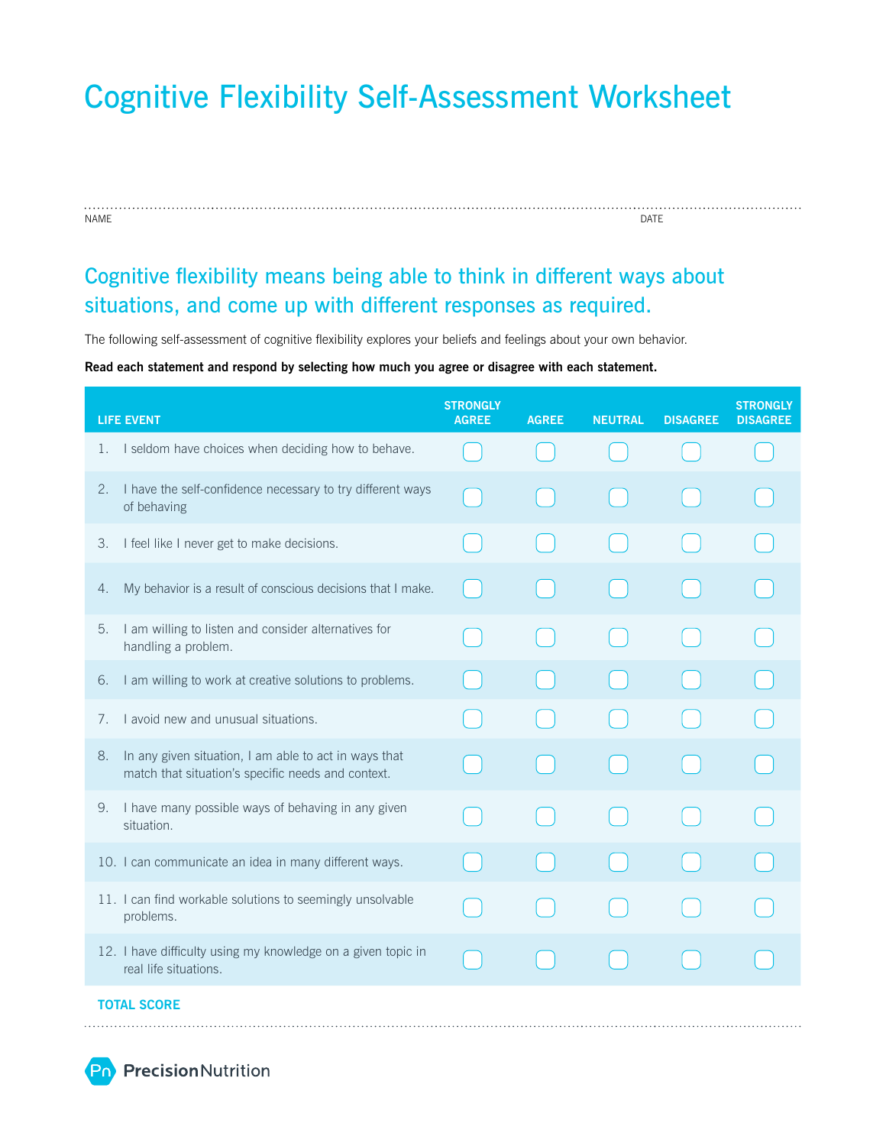# Cognitive Flexibility Self-Assessment Worksheet

. . . . . . .

name is a state of the state of the state of the state of the state of the state of the state of the DATE of the S

## Cognitive flexibility means being able to think in different ways about situations, and come up with different responses as required.

The following self-assessment of cognitive flexibility explores your beliefs and feelings about your own behavior.

**Read each statement and respond by selecting how much you agree or disagree with each statement.**

| <b>LIFE EVENT</b>                                                                                                 | <b>STRONGLY</b><br><b>AGREE</b> | <b>AGREE</b> | <b>NEUTRAL</b> | <b>DISAGREE</b> | <b>STRONGLY</b><br><b>DISAGREE</b> |
|-------------------------------------------------------------------------------------------------------------------|---------------------------------|--------------|----------------|-----------------|------------------------------------|
| I seldom have choices when deciding how to behave.<br>1.                                                          |                                 |              |                |                 |                                    |
| I have the self-confidence necessary to try different ways<br>2.<br>of behaving                                   |                                 |              |                |                 |                                    |
| I feel like I never get to make decisions.<br>3.                                                                  |                                 |              |                |                 |                                    |
| My behavior is a result of conscious decisions that I make.<br>4.                                                 |                                 |              |                |                 |                                    |
| I am willing to listen and consider alternatives for<br>5.<br>handling a problem.                                 |                                 |              |                |                 |                                    |
| I am willing to work at creative solutions to problems.<br>6.                                                     |                                 |              |                |                 |                                    |
| I avoid new and unusual situations.<br>7.                                                                         |                                 |              |                |                 |                                    |
| 8.<br>In any given situation, I am able to act in ways that<br>match that situation's specific needs and context. |                                 |              |                |                 |                                    |
| I have many possible ways of behaving in any given<br>9.<br>situation.                                            |                                 |              |                |                 |                                    |
| 10. I can communicate an idea in many different ways.                                                             |                                 |              |                |                 |                                    |
| 11. I can find workable solutions to seemingly unsolvable<br>problems.                                            |                                 |              |                |                 |                                    |
| 12. I have difficulty using my knowledge on a given topic in<br>real life situations.                             |                                 |              |                |                 |                                    |
| <b>TOTAL SCORE</b>                                                                                                |                                 |              |                |                 |                                    |

**Precision Nutrition**